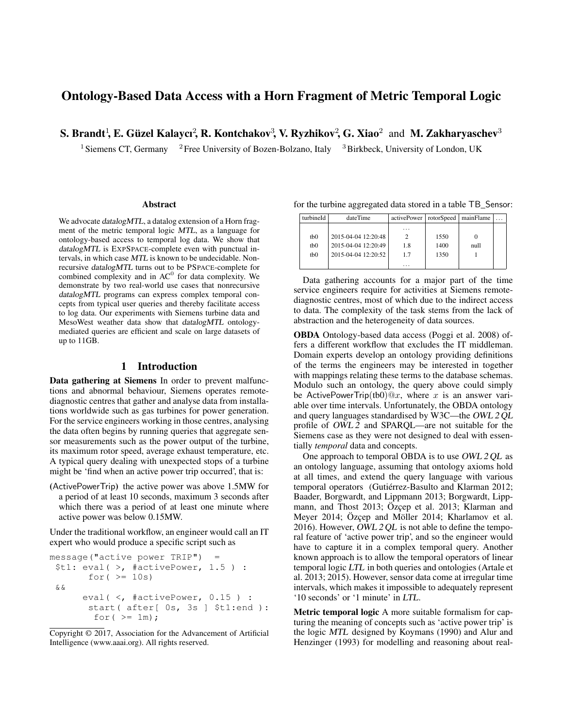# Ontology-Based Data Access with a Horn Fragment of Metric Temporal Logic

S. Brandt<sup>1</sup>, E. Güzel Kalaycı<sup>2</sup>, R. Kontchakov<sup>3</sup>, V. Ryzhikov<sup>2</sup>, G. Xiao<sup>2</sup> and M. Zakharyaschev<sup>3</sup>

<sup>1</sup> Siemens CT, Germany <sup>2</sup> Free University of Bozen-Bolzano, Italy <sup>3</sup> Birkbeck, University of London, UK

#### **Abstract**

We advocate datalogMTL, a datalog extension of a Horn fragment of the metric temporal logic MTL, as a language for ontology-based access to temporal log data. We show that datalogMTL is EXPSPACE-complete even with punctual intervals, in which case MTL is known to be undecidable. Nonrecursive datalogMTL turns out to be PSPACE-complete for combined complexity and in  $AC^0$  for data complexity. We demonstrate by two real-world use cases that nonrecursive datalogMTL programs can express complex temporal concepts from typical user queries and thereby facilitate access to log data. Our experiments with Siemens turbine data and MesoWest weather data show that datalogMTL ontologymediated queries are efficient and scale on large datasets of up to 11GB.

# 1 Introduction

Data gathering at Siemens In order to prevent malfunctions and abnormal behaviour, Siemens operates remotediagnostic centres that gather and analyse data from installations worldwide such as gas turbines for power generation. For the service engineers working in those centres, analysing the data often begins by running queries that aggregate sensor measurements such as the power output of the turbine, its maximum rotor speed, average exhaust temperature, etc. A typical query dealing with unexpected stops of a turbine might be 'find when an active power trip occurred', that is:

(ActivePowerTrip) the active power was above 1.5MW for a period of at least 10 seconds, maximum 3 seconds after which there was a period of at least one minute where active power was below 0.15MW.

Under the traditional workflow, an engineer would call an IT expert who would produce a specific script such as

```
message("active power TRIP") =
$t1: eval( >, #activePower, 1.5 ) :
      for(>= 10s)
&&
     eval( <, #activePower, 0.15 ) :
      start( after[ 0s, 3s ] $t1:end ):
       for ( >= 1m);
```

| turbineId       | dateTime            | activePower   rotorSpeed   mainFlame |      |      |  |
|-----------------|---------------------|--------------------------------------|------|------|--|
|                 |                     | .                                    |      |      |  |
| tb <sub>0</sub> | 2015-04-04 12:20:48 |                                      | 1550 |      |  |
| tb <sub>0</sub> | 2015-04-04 12:20:49 | 1.8                                  | 1400 | null |  |
| tb <sub>0</sub> | 2015-04-04 12:20:52 | 1.7                                  | 1350 |      |  |
|                 |                     | .                                    |      |      |  |

for the turbine aggregated data stored in a table TB\_Sensor:

Data gathering accounts for a major part of the time service engineers require for activities at Siemens remotediagnostic centres, most of which due to the indirect access to data. The complexity of the task stems from the lack of abstraction and the heterogeneity of data sources.

OBDA Ontology-based data access (Poggi et al. 2008) offers a different workflow that excludes the IT middleman. Domain experts develop an ontology providing definitions of the terms the engineers may be interested in together with mappings relating these terms to the database schemas. Modulo such an ontology, the query above could simply be ActivePowerTrip(tb0) $@x$ , where x is an answer variable over time intervals. Unfortunately, the OBDA ontology and query languages standardised by W3C—the OWL 2 QL profile of OWL 2 and SPARQL—are not suitable for the Siemens case as they were not designed to deal with essentially *temporal* data and concepts.

One approach to temporal OBDA is to use OWL 2 QL as an ontology language, assuming that ontology axioms hold at all times, and extend the query language with various temporal operators (Gutiérrez-Basulto and Klarman 2012; Baader, Borgwardt, and Lippmann 2013; Borgwardt, Lippmann, and Thost 2013; Özçep et al. 2013; Klarman and Meyer 2014; Özçep and Möller 2014; Kharlamov et al. 2016). However,  $\overline{OWL}$  2 QL is not able to define the temporal feature of 'active power trip', and so the engineer would have to capture it in a complex temporal query. Another known approach is to allow the temporal operators of linear temporal logic LTL in both queries and ontologies (Artale et al. 2013; 2015). However, sensor data come at irregular time intervals, which makes it impossible to adequately represent '10 seconds' or '1 minute' in LTL.

Metric temporal logic A more suitable formalism for capturing the meaning of concepts such as 'active power trip' is the logic MTL designed by Koymans (1990) and Alur and Henzinger (1993) for modelling and reasoning about real-

Copyright © 2017, Association for the Advancement of Artificial Intelligence (www.aaai.org). All rights reserved.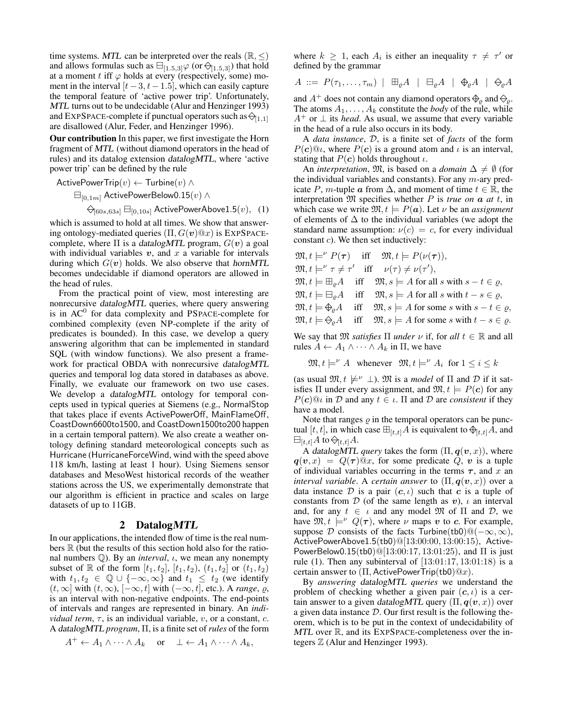time systems. MTL can be interpreted over the reals ( $\mathbb{R}, \leq$ ) and allows formulas such as  $\boxminus_{[1.5,3]} \varphi$  (or  $\ominus_{[1.5,3]}$ ) that hold at a moment t iff  $\varphi$  holds at every (respectively, some) moment in the interval  $[t - 3, t - 1.5]$ , which can easily capture the temporal feature of 'active power trip'. Unfortunately, MTL turns out to be undecidable (Alur and Henzinger 1993) and EXPSPACE-complete if punctual operators such as  $\ominus_{[1,1]}$ are disallowed (Alur, Feder, and Henzinger 1996).

Our contribution In this paper, we first investigate the Horn fragment of MTL (without diamond operators in the head of rules) and its datalog extension datalogMTL, where 'active power trip' can be defined by the rule

$$
\mathsf{ActivePowerTrip}(v) \gets \mathsf{Turbine}(v) \; \wedge \;
$$

$$
\boxminus_{[0,1m]} \mathsf{ActivePowerBelow} 0.15(v) \wedge \\
$$

$$
\Leftrightarrow_{[60s,63s]} \boxminus_{[0,10s]} \mathsf{ActivePowerAbove1.5}(v), \quad (1)
$$

which is assumed to hold at all times. We show that answering ontology-mediated queries  $(\Pi, G(v)@x)$  is EXPSPACEcomplete, where  $\Pi$  is a datalogMTL program,  $G(v)$  a goal with individual variables  $v$ , and  $x$  a variable for intervals during which  $G(v)$  holds. We also observe that hornMTL becomes undecidable if diamond operators are allowed in the head of rules.

From the practical point of view, most interesting are nonrecursive datalogMTL queries, where query answering is in AC<sup>0</sup> for data complexity and PSPACE-complete for combined complexity (even NP-complete if the arity of predicates is bounded). In this case, we develop a query answering algorithm that can be implemented in standard SQL (with window functions). We also present a framework for practical OBDA with nonrecursive datalogMTL queries and temporal log data stored in databases as above. Finally, we evaluate our framework on two use cases. We develop a datalogMTL ontology for temporal concepts used in typical queries at Siemens (e.g., NormalStop that takes place if events ActivePowerOff, MainFlameOff, CoastDown6600to1500, and CoastDown1500to200 happen in a certain temporal pattern). We also create a weather ontology defining standard meteorological concepts such as Hurricane (HurricaneForceWind, wind with the speed above 118 km/h, lasting at least 1 hour). Using Siemens sensor databases and MesoWest historical records of the weather stations across the US, we experimentally demonstrate that our algorithm is efficient in practice and scales on large datasets of up to 11GB.

## 2 DatalogMTL

In our applications, the intended flow of time is the real numbers  $\mathbb R$  (but the results of this section hold also for the rational numbers  $\mathbb{Q}$ ). By an *interval*,  $\iota$ , we mean any nonempty subset of R of the form  $[t_1, t_2]$ ,  $[t_1, t_2)$ ,  $(t_1, t_2]$  or  $(t_1, t_2)$ with  $t_1, t_2 \in \mathbb{Q} \cup \{-\infty, \infty\}$  and  $t_1 \leq t_2$  (we identify  $(t, ∞]$  with  $(t, ∞)$ ,  $[-∞, t]$  with  $(-∞, t]$ , etc.). A *range*,  $\varrho$ , is an interval with non-negative endpoints. The end-points of intervals and ranges are represented in binary. An *individual term*,  $\tau$ , is an individual variable, v, or a constant, c. A datalogMTL *program*, Π, is a finite set of *rules* of the form

$$
A^+ \leftarrow A_1 \wedge \cdots \wedge A_k \quad \text{or} \quad \perp \leftarrow A_1 \wedge \cdots \wedge A_k,
$$

where  $k \geq 1$ , each  $A_i$  is either an inequality  $\tau \neq \tau'$  or defined by the grammar

$$
A \ ::= P(\tau_1,\ldots,\tau_m) \ | \ \boxplus_{\varrho} A \ | \ \boxminus_{\varrho} A \ | \ \Diamond_{\varrho} A \ | \ \Diamond_{\varrho} A
$$

and  $A^+$  does not contain any diamond operators  $\mathcal{L}_{\alpha}$  and  $\mathcal{L}_{\alpha}$ . The atoms  $A_1, \ldots, A_k$  constitute the *body* of the rule, while  $A^+$  or  $\perp$  its *head*. As usual, we assume that every variable in the head of a rule also occurs in its body.

A *data instance*, D, is a finite set of *facts* of the form  $P(c)@i$ , where  $P(c)$  is a ground atom and  $i$  is an interval, stating that  $P(c)$  holds throughout  $\iota$ .

An *interpretation*,  $\mathfrak{M}$ , is based on a *domain*  $\Delta \neq \emptyset$  (for the individual variables and constants). For any  $m$ -ary predicate P, m-tuple a from  $\Delta$ , and moment of time  $t \in \mathbb{R}$ , the interpretation M specifies whether P is *true on* a *at* t, in which case we write  $\mathfrak{M}, t \models P(\mathbf{a})$ . Let  $\nu$  be an *assignment* of elements of  $\Delta$  to the individual variables (we adopt the standard name assumption:  $\nu(c) = c$ , for every individual constant  $c$ ). We then set inductively:

$$
\mathfrak{M}, t \models^{\nu} P(\tau) \quad \text{iff} \quad \mathfrak{M}, t \models P(\nu(\tau)),
$$
\n
$$
\mathfrak{M}, t \models^{\nu} \tau \neq \tau' \quad \text{iff} \quad \nu(\tau) \neq \nu(\tau'),
$$
\n
$$
\mathfrak{M}, t \models \boxplus_{\varrho} A \quad \text{iff} \quad \mathfrak{M}, s \models A \text{ for all } s \text{ with } s - t \in \varrho,
$$
\n
$$
\mathfrak{M}, t \models \boxplus_{\varrho} A \quad \text{iff} \quad \mathfrak{M}, s \models A \text{ for all } s \text{ with } t - s \in \varrho,
$$
\n
$$
\mathfrak{M}, t \models \bigoplus_{\varrho} A \quad \text{iff} \quad \mathfrak{M}, s \models A \text{ for some } s \text{ with } s - t \in \varrho,
$$
\n
$$
\mathfrak{M}, t \models \bigoplus_{\varrho} A \quad \text{iff} \quad \mathfrak{M}, s \models A \text{ for some } s \text{ with } t - s \in \varrho.
$$

We say that  $\mathfrak{M}$  *satisfies*  $\Pi$  *under*  $\nu$  if, for all  $t \in \mathbb{R}$  and all rules  $A \leftarrow A_1 \wedge \cdots \wedge A_k$  in  $\Pi$ , we have

$$
\mathfrak{M}, t \models^{\nu} A \quad \text{whenever} \quad \mathfrak{M}, t \models^{\nu} A_i \text{ for } 1 \le i \le k
$$

(as usual  $\mathfrak{M}, t \not\models^{\nu} \bot$ ).  $\mathfrak{M}$  is a *model* of  $\Pi$  and  $\mathcal D$  if it satisfies  $\Pi$  under every assignment, and  $\mathfrak{M}, t \models P(c)$  for any  $P(c) @$ *ι* in D and any  $t \in \iota$ .  $\Pi$  and D are *consistent* if they have a model.

Note that ranges  $\rho$  in the temporal operators can be punctual [t, t], in which case  $\boxplus_{[t,t]}A$  is equivalent to  $\bigoplus_{[t,t]}A$ , and  $\boxminus_{[t,t]} A$  to  $\bigcirc_{[t,t]} A$ .

A datalogMTL query takes the form  $(\Pi, \mathbf{q}(v, x))$ , where  $q(v, x) = Q(\tau) \Omega x$ , for some predicate Q, v is a tuple of individual variables occurring in the terms  $\tau$ , and x and *interval variable.* A *certain answer* to  $(\Pi, \boldsymbol{q}(\boldsymbol{v}, x))$  over a data instance D is a pair  $(c, t)$  such that c is a tuple of constants from  $D$  (of the same length as v),  $\iota$  an interval and, for any  $t \in \iota$  and any model  $\mathfrak{M}$  of  $\Pi$  and  $\mathcal{D}$ , we have  $\mathfrak{M}, t \models^{\nu} Q(\tau)$ , where  $\nu$  maps  $\upsilon$  to  $\upsilon$ . For example, suppose D consists of the facts Turbine(tb0) $@(-\infty, \infty)$ , ActivePowerAbove1.5(tb0)@[13:00:00, 13:00:15), Active-PowerBelow0.15(tb0)@[13:00:17, 13:01:25), and  $\Pi$  is just rule (1). Then any subinterval of  $[13:01:17, 13:01:18)$  is a certain answer to  $(\Pi,$  ActivePowerTrip(tb0) $@x$ ).

By *answering* datalogMTL *queries* we understand the problem of checking whether a given pair  $(c, \iota)$  is a certain answer to a given datalogMTL query  $(\Pi, \boldsymbol{q}(\boldsymbol{v}, x))$  over a given data instance  $D$ . Our first result is the following theorem, which is to be put in the context of undecidability of MTL over  $\mathbb R$ , and its EXPSPACE-completeness over the integers Z (Alur and Henzinger 1993).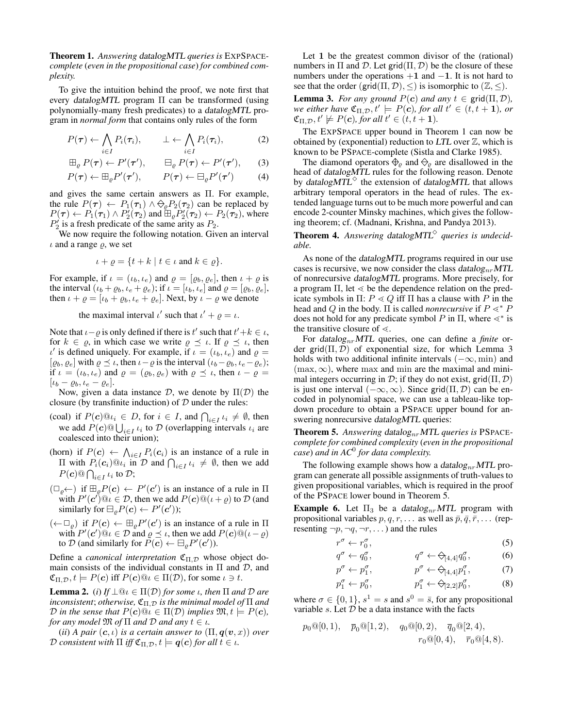Theorem 1. *Answering* datalogMTL *queries is* EXPSPACE*complete* (*even in the propositional case*) *for combined complexity.*

To give the intuition behind the proof, we note first that every datalogMTL program Π can be transformed (using polynomially-many fresh predicates) to a datalogMTL program in *normal form* that contains only rules of the form

$$
P(\boldsymbol{\tau}) \leftarrow \bigwedge_{i \in I} P_i(\boldsymbol{\tau}_i), \qquad \bot \leftarrow \bigwedge_{i \in I} P_i(\boldsymbol{\tau}_i), \tag{2}
$$

$$
\boxplus_{\varrho} P(\boldsymbol{\tau}) \leftarrow P'(\boldsymbol{\tau}'), \qquad \boxminus_{\varrho} P(\boldsymbol{\tau}) \leftarrow P'(\boldsymbol{\tau}'), \qquad (3)
$$

$$
P(\boldsymbol{\tau}) \leftarrow \mathbb{H}_{\varrho} P'(\boldsymbol{\tau}'), \qquad P(\boldsymbol{\tau}) \leftarrow \mathbb{H}_{\varrho} P'(\boldsymbol{\tau}') \qquad (4)
$$

and gives the same certain answers as Π. For example, the rule  $P(\tau) \leftarrow P_1(\tau_1) \wedge \bigcirc_{\rho} P_2(\tau_2)$  can be replaced by  $P(\tau) \leftarrow P_1(\tau_1) \wedge P_2'(\tau_2)$  and  $\mathbb{E}_{\varrho} P_2'(\tau_2) \leftarrow P_2(\tau_2)$ , where  $P'_2$  is a fresh predicate of the same arity as  $P_2$ .

We now require the following notation. Given an interval  $\iota$  and a range  $\rho$ , we set

$$
\iota + \varrho = \{ t + k \mid t \in \iota \text{ and } k \in \varrho \}.
$$

For example, if  $\iota = (\iota_b, \iota_e)$  and  $\varrho = [\varrho_b, \varrho_e]$ , then  $\iota + \varrho$  is the interval  $(\iota_b + \varrho_b, \iota_e + \varrho_e)$ ; if  $\iota = [\iota_b, \iota_e]$  and  $\varrho = [\varrho_b, \varrho_e]$ , then  $\iota + \varrho = [\iota_b + \varrho_b, \iota_e + \varrho_e]$ . Next, by  $\iota - \varrho$  we denote

the maximal interval  $\iota'$  such that  $\iota' + \varrho = \iota$ .

Note that  $\iota - \varrho$  is only defined if there is  $t'$  such that  $t' + k \in \iota$ , for  $k \in \varrho$ , in which case we write  $\varrho \preceq \iota$ . If  $\varrho \preceq \iota$ , then  $\iota'$  is defined uniquely. For example, if  $\iota = (\iota_b, \iota_e)$  and  $\varrho =$  $[\varrho_b, \varrho_e]$  with  $\varrho \preceq \iota$ , then  $\iota - \varrho$  is the interval  $(\iota_b - \varrho_b, \iota_e - \varrho_e);$ if  $\iota = (\iota_b, \iota_e)$  and  $\varrho = (\varrho_b, \varrho_e)$  with  $\varrho \preceq \iota$ , then  $\iota - \varrho =$  $[\iota_b - \varrho_b, \iota_e - \varrho_e].$ 

Now, given a data instance  $D$ , we denote by  $\Pi(D)$  the closure (by transfinite induction) of  $D$  under the rules:

- (coal) if  $P(c) @i_i \in D$ , for  $i \in I$ , and  $\bigcap_{i \in I} i_i \neq \emptyset$ , then we add  $P(c)$   $\cup$ <sub>i $\in$ I</sub>  $\iota_i$  to  $\mathcal D$  (overlapping intervals  $\iota_i$  are coalesced into their union);
- (horn) if  $P(c) \leftarrow \bigwedge_{i \in I} P_i(c_i)$  is an instance of a rule in  $\Pi$  with  $P_i(c_i)@i_i$  in  $D$  and  $\bigcap_{i \in I} i_i \neq \emptyset$ , then we add  $P(\boldsymbol{c})@ \bigcap_{i \in I} \iota_i$  to  $\mathcal{D};$
- $(\Box_{\varrho} \leftarrow)$  if  $\boxplus_{\varrho} P(c) \leftarrow P'(c')$  is an instance of a rule in  $\Pi$ with  $P'(c')@i \in \mathcal{D}$ , then we add  $P(c)@i \in \mathcal{D}$  to  $\mathcal D$  (and similarly for  $\boxminus_{\rho} P(c) \leftarrow P'(c')$ );
- $(\leftarrow \Box_{\rho})$  if  $P(c) \leftarrow \Box_{\rho} P'(c')$  is an instance of a rule in  $\Pi$ with  $P'(c')@i \in \mathcal{D}$  and  $\varrho \preceq \iota$ , then we add  $P(c)@(\iota - \varrho)$ to D (and similarly for  $P(\vec{c}) \leftarrow \boxminus_{\rho} P'(c')$ ).

Define a *canonical interpretation*  $\mathfrak{C}_{\Pi, \mathcal{D}}$  whose object domain consists of the individual constants in  $\Pi$  and  $D$ , and  $\mathfrak{C}_{\Pi,\mathcal{D}}, t \models P(c)$  iff  $P(c) @ \iota \in \Pi(\mathcal{D})$ , for some  $\iota \ni t$ .

**Lemma 2.** (*i*) *If*  $\perp$   $\mathbb{Q}_l \in \Pi(\mathcal{D})$  *for some ι, then*  $\Pi$  *and*  $\mathcal{D}$  *are inconsistent*; *otherwise*,  $\mathfrak{C}_{\Pi, \mathcal{D}}$  *is the minimal model of*  $\Pi$  *and D* in the sense that  $P(c) @ i \in \Pi(\mathcal{D})$  implies  $\mathfrak{M}, t \models P(c)$ , *for any model*  $\mathfrak{M}$  *of*  $\Pi$  *and*  $\mathcal{D}$  *and any*  $t \in \iota$ .

(*ii*) *A pair*  $(c, \iota)$  *is a certain answer to*  $(\Pi, \mathbf{q}(v, x))$  *over D* consistent with  $\Pi$  iff  $\mathfrak{C}_{\Pi, \mathcal{D}}$ ,  $t \models q(c)$  for all  $t \in \iota$ .

Let 1 be the greatest common divisor of the (rational) numbers in  $\Pi$  and  $\mathcal D$ . Let grid $(\Pi, \mathcal D)$  be the closure of these numbers under the operations  $+1$  and  $-1$ . It is not hard to see that the order (grid( $\Pi, \mathcal{D}$ ),  $\leq$ ) is isomorphic to ( $\mathbb{Z}, \leq$ ).

**Lemma 3.** *For any ground*  $P(c)$  *and any*  $t \in \text{grid}(\Pi, \mathcal{D})$ *, we either have*  $\mathfrak{C}_{\Pi,\mathcal{D}}, t' \models P(c)$ *, for all*  $t' \in (t, t + 1)$ *, or*  $\mathfrak{C}_{\Pi,\mathcal{D}}, t' \not\models P(c)$ , for all  $t' \in (t, t + 1)$ .

The EXPSPACE upper bound in Theorem 1 can now be obtained by (exponential) reduction to LTL over  $\mathbb{Z}$ , which is known to be PSPACE-complete (Sistla and Clarke 1985).

The diamond operators  $\oplus_{\rho}$  and  $\ominus_{\rho}$  are disallowed in the head of datalogMTL rules for the following reason. Denote by datalog $MTL^{\diamond}$  the extension of datalog MTL that allows arbitrary temporal operators in the head of rules. The extended language turns out to be much more powerful and can encode 2-counter Minsky machines, which gives the following theorem; cf. (Madnani, Krishna, and Pandya 2013).

**Theorem 4.** Answering datalog MTL<sup> $\diamond$ </sup> queries is undecid*able.*

As none of the datalogMTL programs required in our use cases is recursive, we now consider the class datalog<sub>nr</sub> MTL of nonrecursive datalogMTL programs. More precisely, for a program  $\Pi$ , let  $\leq$  be the dependence relation on the predicate symbols in  $\Pi$ :  $P \le Q$  iff  $\Pi$  has a clause with P in the head and Q in the body. Π is called *nonrecursive* if  $P \leq^* P$ does not hold for any predicate symbol P in  $\Pi$ , where  $\lt^*$  is the transitive closure of  $\leq$ .

For datalognrMTL queries, one can define a *finite* order grid $(\Pi, \mathcal{D})$  of exponential size, for which Lemma 3 holds with two additional infinite intervals  $(-\infty, \min)$  and  $(\text{max}, \infty)$ , where max and min are the maximal and minimal integers occurring in  $\mathcal{D}$ ; if they do not exist, grid $(\Pi, \mathcal{D})$ is just one interval  $(-\infty, \infty)$ . Since grid $(\Pi, \mathcal{D})$  can be encoded in polynomial space, we can use a tableau-like topdown procedure to obtain a PSPACE upper bound for answering nonrecursive *datalogMTL* queries:

Theorem 5. Answering datalog<sub>nr</sub>MTL queries is PSPACE*complete for combined complexity* (*even in the propositional case*) *and in AC*<sup>0</sup> *for data complexity.*

The following example shows how a datalog<sub>nr</sub> MTL program can generate all possible assignments of truth-values to given propositional variables, which is required in the proof of the PSPACE lower bound in Theorem 5.

**Example 6.** Let  $\Pi_3$  be a datalog<sub>nr</sub>MTL program with propositional variables  $p, q, r, \ldots$  as well as  $\bar{p}, \bar{q}, \bar{r}, \ldots$  (representing  $\neg p, \neg q, \neg r, \dots$ ) and the rules

$$
r^{\sigma} \leftarrow r_0^{\sigma},\tag{5}
$$

$$
q^{\sigma} \leftarrow q_0^{\sigma}, \qquad q^{\sigma} \leftarrow \bigoplus_{[4,4]} q_0^{\sigma}, \qquad (6)
$$

$$
p^{\sigma} \leftarrow p_1^{\sigma}, \qquad \qquad p^{\sigma} \leftarrow \bigcirc_{[4,4]} p_1^{\sigma}, \qquad (7)
$$

$$
p_1^{\sigma} \leftarrow p_0^{\sigma}, \qquad p_1^{\sigma} \leftarrow \bigcirc_{[2,2]} p_0^{\sigma}, \qquad (8)
$$

where  $\sigma \in \{0, 1\}$ ,  $s^1 = s$  and  $s^0 = \bar{s}$ , for any propositional variable s. Let  $D$  be a data instance with the facts

p

$$
p_0@[0,1), \quad \overline{p}_0@[1,2), \quad q_0@[0,2), \quad \overline{q}_0@[2,4),
$$
  
 $r_0@[0,4), \quad \overline{r}_0@[4,8).$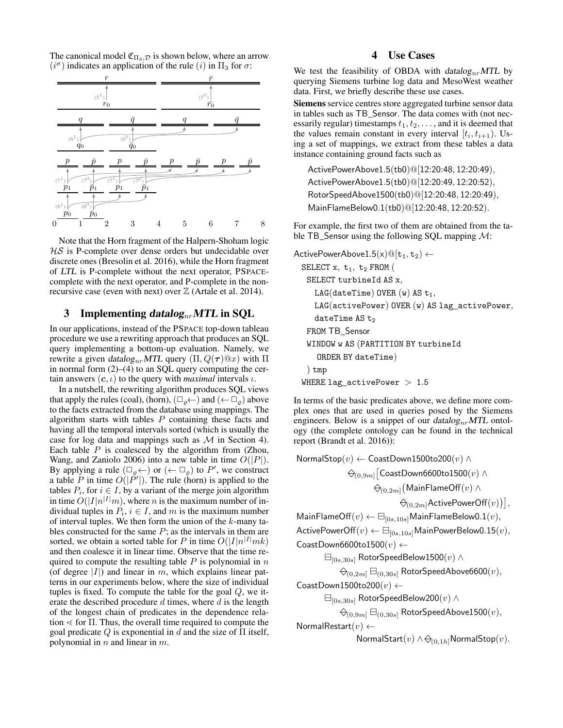The canonical model  $\mathfrak{C}_{\Pi_3,\mathcal{D}}$  is shown below, where an arrow  $(i^{\sigma})$  indicates an application of the rule  $(i)$  in  $\Pi_3$  for  $\sigma$ :



Note that the Horn fragment of the Halpern-Shoham logic  $H\mathcal{S}$  is P-complete over dense orders but undecidable over discrete ones (Bresolin et al. 2016), while the Horn fragment of LTL is P-complete without the next operator, PSPACEcomplete with the next operator, and P-complete in the nonrecursive case (even with next) over  $\mathbb Z$  (Artale et al. 2014).

# 3 Implementing datalog<sub>nr</sub> MTL in SQL

In our applications, instead of the PSPACE top-down tableau procedure we use a rewriting approach that produces an SQL query implementing a bottom-up evaluation. Namely, we rewrite a given datalog<sub>nr</sub>MTL query  $(\Pi, Q(\tau)@x)$  with Π in normal form (2)–(4) to an SQL query computing the certain answers  $(c, \iota)$  to the query with *maximal* intervals  $\iota$ .

In a nutshell, the rewriting algorithm produces SQL views that apply the rules (coal), (horn),  $(\Box_{\rho} \leftarrow)$  and  $(\leftarrow \Box_{\rho})$  above to the facts extracted from the database using mappings. The algorithm starts with tables  $P$  containing these facts and having all the temporal intervals sorted (which is usually the case for log data and mappings such as  $M$  in Section 4). Each table  $P$  is coalesced by the algorithm from (Zhou, Wang, and Zaniolo 2006) into a new table in time  $O(|P|)$ . By applying a rule  $(\Box_{\varrho} \leftarrow)$  or  $(\leftarrow \Box_{\varrho})$  to P', we construct a table P in time  $O(|\vec{P'}|)$ . The rule (horn) is applied to the tables  $P_i$ , for  $i \in I$ , by a variant of the merge join algorithm in time  $O(|I|n^{|I|}m)$ , where n is the maximum number of individual tuples in  $P_i$ ,  $i \in I$ , and m is the maximum number of interval tuples. We then form the union of the  $k$ -many tables constructed for the same  $P$ ; as the intervals in them are sorted, we obtain a sorted table for P in time  $O(|I|n^{|I|}mk)$ and then coalesce it in linear time. Observe that the time required to compute the resulting table  $P$  is polynomial in  $n$ (of degree  $|I|$ ) and linear in m, which explains linear patterns in our experiments below, where the size of individual tuples is fixed. To compute the table for the goal  $Q$ , we iterate the described procedure  $d$  times, where  $d$  is the length of the longest chain of predicates in the dependence relation  $\le$  for Π. Thus, the overall time required to compute the goal predicate  $Q$  is exponential in  $d$  and the size of  $\Pi$  itself, polynomial in  $n$  and linear in  $m$ .

# 4 Use Cases

We test the feasibility of OBDA with  $datalog_{nr}MTL$  by querying Siemens turbine log data and MesoWest weather data. First, we briefly describe these use cases.

Siemens service centres store aggregated turbine sensor data in tables such as TB\_Sensor. The data comes with (not necessarily regular) timestamps  $t_1, t_2, \ldots$ , and it is deemed that the values remain constant in every interval  $[t_i, t_{i+1})$ . Using a set of mappings, we extract from these tables a data instance containing ground facts such as

ActivePowerAbove1.5(tb0)@[12:20:48, 12:20:49), ActivePowerAbove1.5(tb0)@[12:20:49, 12:20:52), RotorSpeedAbove1500(tb0)@[12:20:48, 12:20:49), MainFlameBelow0.1(tb0)@[12:20:48, 12:20:52).

For example, the first two of them are obtained from the table TB\_Sensor using the following SQL mapping  $\mathcal{M}$ :

 $ActivePowerAbove1.5(x) \circledcirc [t_1, t_2) \leftarrow$ SELECT  $x, t_1, t_2$  FROM ( SELECT turbineId AS x, LAG(dateTime) OVER  $(w)$  AS  $t_1$ , LAG(activePower) OVER (w) AS lag\_activePower, dateTime  $AS$  t<sub>2</sub> FROM TB\_Sensor WINDOW w AS (PARTITION BY turbineId ORDER BY dateTime) ) tmp WHERE  $lag_activePower > 1.5$ 

In terms of the basic predicates above, we define more complex ones that are used in queries posed by the Siemens engineers. Below is a snippet of our  $datalog_{nr} MTL$  ontology (the complete ontology can be found in the technical report (Brandt et al. 2016)):

NormalStop $(v)$  ← CoastDown1500to200 $(v)$  ∧  $\mathcal{C}_{(0,9m]} \big[ \mathsf{CoastDown6600to1500}(v) \land$  $\kappa_{(0,2m]}(\mathsf{MainFlameOff}(v) \wedge$  $\mathcal{B}_{(0,2m]}$ ActivePowerOff $(v)\big)\big],$ 

 $\mathsf{MainFlameOff}(v) \leftarrow \boxminus_{[0s,10s]} \mathsf{MainFlameBelow0.1}(v),$ ActivePowerOff $(v) \leftarrow \boxminus_{[0s,10s]}$ MainPowerBelow0.15 $(v)$ ,

CoastDown6600to1500 $(v)$  ←

 $\boxminus_{[0s,30s]}$  RotorSpeedBelow1500 $(v)$  ∧

 $\overline{\Theta}_{(0,2m]} \boxminus_{(0,30s]}$  RotorSpeedAbove6600 $(v),$ 

CoastDown1500to200 $(v) \leftarrow$ 

 $\boxminus_{[0s,30s]}$  RotorSpeedBelow200 $(v)$  ∧

$$
\overline{\Leftrightarrow}_{(0,9m]} \boxminus_{(0,30s]} \mathsf{RotorSpeedAbove1500}(v),
$$

Normal $\mathsf{Restart}(v) \leftarrow$ 

NormalStart $(v) \wedge \bigcirc_{(0,1h)}$ NormalStop $(v)$ .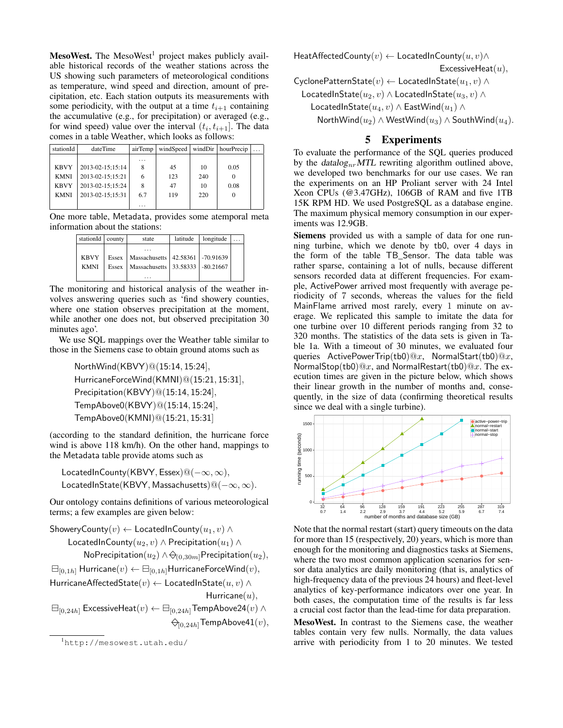MesoWest. The MesoWest<sup>1</sup> project makes publicly available historical records of the weather stations across the US showing such parameters of meteorological conditions as temperature, wind speed and direction, amount of precipitation, etc. Each station outputs its measurements with some periodicity, with the output at a time  $t_{i+1}$  containing the accumulative (e.g., for precipitation) or averaged (e.g., for wind speed) value over the interval  $(t_i, t_{i+1}]$ . The data comes in a table Weather, which looks as follows:

| stationId   | dateTime         | airTemp  | windSpeed |     | windDir   hourPrecip | $\cdots$ |
|-------------|------------------|----------|-----------|-----|----------------------|----------|
|             |                  | $\cdots$ |           |     |                      |          |
| <b>KBVY</b> | 2013-02-15;15:14 | 8        | 45        | 10  | 0.05                 |          |
| <b>KMNI</b> | 2013-02-15;15:21 | 6        | 123       | 240 |                      |          |
| <b>KBVY</b> | 2013-02-15;15:24 | 8        | 47        | 10  | 0.08                 |          |
| <b>KMNI</b> | 2013-02-15:15:31 | 6.7      | 119       | 220 |                      |          |
|             |                  | .        |           |     |                      |          |

One more table, Metadata, provides some atemporal meta information about the stations:

| stationId                  | county         | state                                                                             | latitude | longitude |  |
|----------------------------|----------------|-----------------------------------------------------------------------------------|----------|-----------|--|
| <b>KBVY</b><br><b>KMNI</b> | Essex<br>Essex | Massachusetts   42.58361   -70.91639<br>Massachusetts   33.58333   -80.21667<br>. |          |           |  |

The monitoring and historical analysis of the weather involves answering queries such as 'find showery counties, where one station observes precipitation at the moment, while another one does not, but observed precipitation 30 minutes ago'.

We use SQL mappings over the Weather table similar to those in the Siemens case to obtain ground atoms such as

> NorthWind(KBVY)@(15:14, 15:24], HurricaneForceWind(KMNI)@(15:21, 15:31], Precipitation(KBVY)@(15:14, 15:24], TempAbove0(KBVY)@(15:14, 15:24], TempAbove0(KMNI)@(15:21, 15:31]

(according to the standard definition, the hurricane force wind is above 118 km/h). On the other hand, mappings to the Metadata table provide atoms such as

LocatedInCounty(KBVY, Essex)@(−∞, ∞), LocatedInState(KBVY, Massachusetts)@(−∞, ∞).

Our ontology contains definitions of various meteorological terms; a few examples are given below:

ShoweryCounty $(v) \leftarrow$  LocatedInCounty $(u_1, v) \wedge$ LocatedInCounty $(u_2, v) \wedge$  Precipitation $(u_1) \wedge$ NoPrecipitation $(u_2) \wedge \ominus_{(0,30m]}$ Precipitation $(u_2)$ ,  $\boxminus_{[0,1h]}$  Hurricane $(v) \leftarrow \boxminus_{[0,1h]}$ HurricaneForceWind $(v)$ , HurricaneAffectedState $(v) \leftarrow$  LocatedInState $(u, v) \wedge$ Hurricane $(u)$ ,  $\boxminus$ <sub>[0,24h</sub>] ExcessiveHeat $(v)$  ←  $\boxminus$ <sub>[0,24h</sub>] TempAbove24 $(v)$  ∧

 $\bigcirc_{[0,24h]}$ TempAbove41 $(v)$ ,

HeatAffectedCounty $(v) \leftarrow$  LocatedInCounty $(u, v) \wedge$ 

ExcessiveHeat $(u)$ ,

CyclonePatternState $(v) \leftarrow$  LocatedInState $(u_1, v) \wedge$ 

LocatedInState( $u_2, v$ ) ∧ LocatedInState( $u_3, v$ ) ∧

LocatedInState( $u_4, v$ ) ∧ EastWind( $u_1$ ) ∧

NorthWind( $u_2$ ) ∧ WestWind( $u_3$ ) ∧ SouthWind( $u_4$ ).

# 5 Experiments

To evaluate the performance of the SQL queries produced by the datalog<sub>nr</sub>MTL rewriting algorithm outlined above, we developed two benchmarks for our use cases. We ran the experiments on an HP Proliant server with 24 Intel Xeon CPUs (@3.47GHz), 106GB of RAM and five 1TB 15K RPM HD. We used PostgreSQL as a database engine. The maximum physical memory consumption in our experiments was 12.9GB.

Siemens provided us with a sample of data for one running turbine, which we denote by tb0, over 4 days in the form of the table TB\_Sensor. The data table was rather sparse, containing a lot of nulls, because different sensors recorded data at different frequencies. For example, ActivePower arrived most frequently with average periodicity of 7 seconds, whereas the values for the field MainFlame arrived most rarely, every 1 minute on average. We replicated this sample to imitate the data for one turbine over 10 different periods ranging from 32 to 320 months. The statistics of the data sets is given in Table 1a. With a timeout of 30 minutes, we evaluated four queries ActivePowerTrip(tb0)@x, NormalStart(tb0)@x, NormalStop(tb0)@x, and NormalRestart(tb0)@x. The execution times are given in the picture below, which shows their linear growth in the number of months and, consequently, in the size of data (confirming theoretical results since we deal with a single turbine).



Note that the normal restart (start) query timeouts on the data for more than 15 (respectively, 20) years, which is more than enough for the monitoring and diagnostics tasks at Siemens, where the two most common application scenarios for sensor data analytics are daily monitoring (that is, analytics of high-frequency data of the previous 24 hours) and fleet-level analytics of key-performance indicators over one year. In both cases, the computation time of the results is far less a crucial cost factor than the lead-time for data preparation.

MesoWest. In contrast to the Siemens case, the weather tables contain very few nulls. Normally, the data values arrive with periodicity from 1 to 20 minutes. We tested

<sup>1</sup>http://mesowest.utah.edu/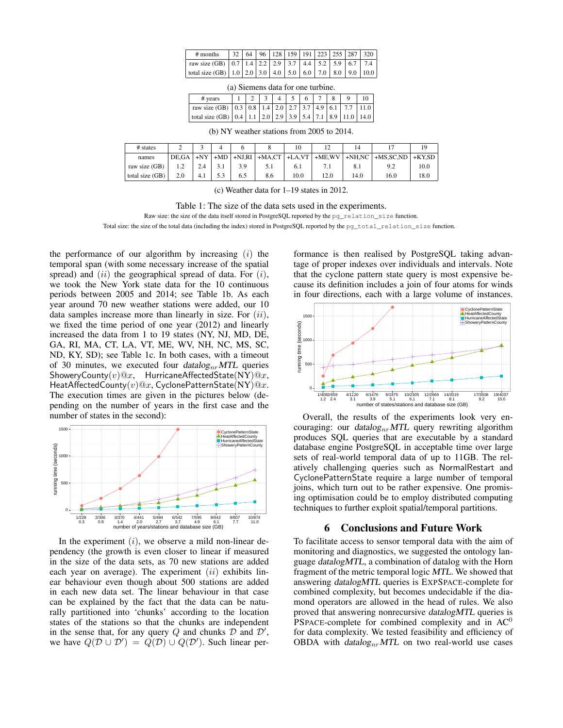| $#$ months                                                                   |  |  |  |  | $32   64   96   128   159   191   223   255   287   320$ |
|------------------------------------------------------------------------------|--|--|--|--|----------------------------------------------------------|
| raw size (GB) 0.7 1.4 2.2 2.9 3.7 4.4 5.2 5.9 6.7 7.4                        |  |  |  |  |                                                          |
| total size (GB)   1.0   2.0   3.0   4.0   5.0   6.0   7.0   8.0   9.0   10.0 |  |  |  |  |                                                          |

(a) Siemens data for one turbine.

| # years                                                                                                              |  |  | $4 \mid 5 \mid 6 \mid 7 \mid 8 \mid$ |  |  |
|----------------------------------------------------------------------------------------------------------------------|--|--|--------------------------------------|--|--|
| raw size (GB) $\vert 0.3 \vert 0.8 \vert 1.4 \vert 2.0 \vert 2.7 \vert 3.7 \vert 4.9 \vert 6.1 \vert 7.7 \vert 11.0$ |  |  |                                      |  |  |
| total size (GB)   0.4   1.1   2.0   2.9   3.9   5.4   7.1   8.9   11.0   14.0                                        |  |  |                                      |  |  |

(b) NY weather stations from 2005 to 2014.

| # states          |       |     |                  |                   | 10   |           | 14            |                | 19        |
|-------------------|-------|-----|------------------|-------------------|------|-----------|---------------|----------------|-----------|
| names             | DE.GA |     | $+NY$ +MD +NJ,RI | $+MA, CT$ +LA, VT |      | $+ME. WV$ | $+$ NH.NC $+$ | $+$ MS, SC, ND | $+$ KY.SD |
| raw size (GB)     |       |     |                  |                   | 0. I |           | 8.1           | 9.2            | 10.0      |
| total size $(GB)$ | 2.0   | 4.1 | 6.5              | 8.6               | 10.0 | 12.0      | 14.0          | 16.0           | 18.0      |

(c) Weather data for 1–19 states in 2012.

#### Table 1: The size of the data sets used in the experiments.

Raw size: the size of the data itself stored in PostgreSQL reported by the pg\_relation\_size function.

Total size: the size of the total data (including the index) stored in PostgreSQL reported by the pq\_total\_relation\_size function.

the performance of our algorithm by increasing  $(i)$  the temporal span (with some necessary increase of the spatial spread) and  $(ii)$  the geographical spread of data. For  $(i)$ , we took the New York state data for the 10 continuous periods between 2005 and 2014; see Table 1b. As each year around 70 new weather stations were added, our 10 data samples increase more than linearly in size. For  $(ii)$ , we fixed the time period of one year (2012) and linearly increased the data from 1 to 19 states (NY, NJ, MD, DE, GA, RI, MA, CT, LA, VT, ME, WV, NH, NC, MS, SC, ND, KY, SD); see Table 1c. In both cases, with a timeout of 30 minutes, we executed four  $datalog_{nr} MTL$  queries ShoweryCounty $(v)@x$ , HurricaneAffectedState(NY) $@x$ , HeatAffectedCounty $(v)@x$ , CyclonePatternState(NY) $@x$ . The execution times are given in the pictures below (depending on the number of years in the first case and the number of states in the second):



In the experiment  $(i)$ , we observe a mild non-linear dependency (the growth is even closer to linear if measured in the size of the data sets, as 70 new stations are added each year on average). The experiment  $(ii)$  exhibits linear behaviour even though about 500 stations are added in each new data set. The linear behaviour in that case can be explained by the fact that the data can be naturally partitioned into 'chunks' according to the location states of the stations so that the chunks are independent in the sense that, for any query Q and chunks  $\mathcal D$  and  $\mathcal D'$ , we have  $Q(D \cup D') = Q(D) \cup Q(D')$ . Such linear per-

formance is then realised by PostgreSQL taking advantage of proper indexes over individuals and intervals. Note that the cyclone pattern state query is most expensive because its definition includes a join of four atoms for winds in four directions, each with a large volume of instances.



Overall, the results of the experiments look very encouraging: our datalog<sub>nr</sub>MTL query rewriting algorithm produces SQL queries that are executable by a standard database engine PostgreSQL in acceptable time over large sets of real-world temporal data of up to 11GB. The relatively challenging queries such as NormalRestart and CyclonePatternState require a large number of temporal joins, which turn out to be rather expensive. One promising optimisation could be to employ distributed computing techniques to further exploit spatial/temporal partitions.

## 6 Conclusions and Future Work

To facilitate access to sensor temporal data with the aim of monitoring and diagnostics, we suggested the ontology language datalogMTL, a combination of datalog with the Horn fragment of the metric temporal logic MTL. We showed that answering datalogMTL queries is EXPSPACE-complete for combined complexity, but becomes undecidable if the diamond operators are allowed in the head of rules. We also proved that answering nonrecursive datalogMTL queries is PSPACE-complete for combined complexity and in  $AC^0$ for data complexity. We tested feasibility and efficiency of OBDA with  $datalog_{nr} MTL$  on two real-world use cases